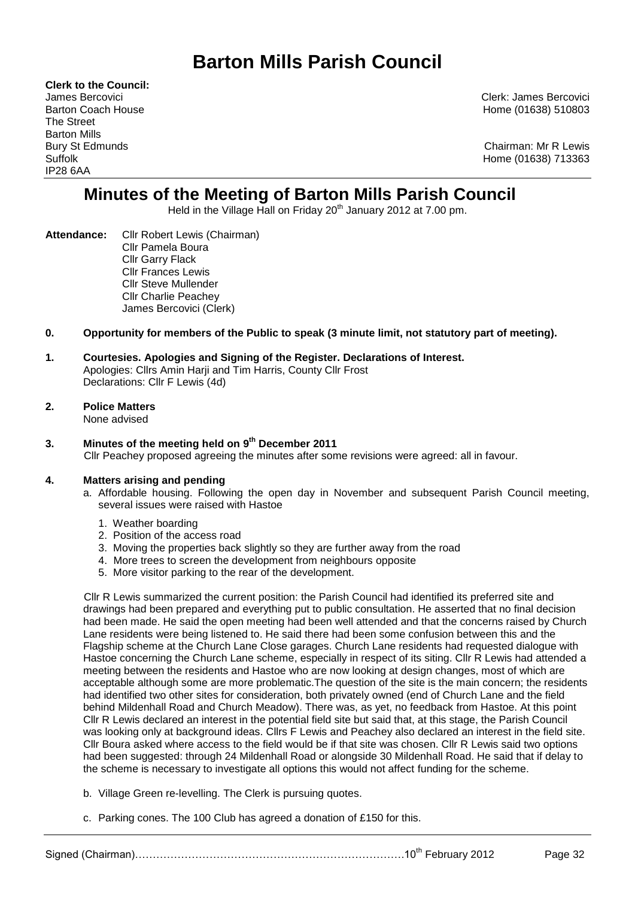# **Barton Mills Parish Council**

**Clerk to the Council:** The Street Barton Mills IP28 6AA

James Bercovici Clerk: James Bercovici Barton Coach House Home (01638) 510803

Bury St Edmunds **Chairman: Mr R Lewis** Suffolk Home (01638) 713363

## **Minutes of the Meeting of Barton Mills Parish Council**

Held in the Village Hall on Friday 20<sup>th</sup> January 2012 at 7.00 pm.

**Attendance:** Cllr Robert Lewis (Chairman) Cllr Pamela Boura Cllr Garry Flack Cllr Frances Lewis Cllr Steve Mullender Cllr Charlie Peachey James Bercovici (Clerk)

## **0. Opportunity for members of the Public to speak (3 minute limit, not statutory part of meeting).**

#### **1. Courtesies. Apologies and Signing of the Register. Declarations of Interest.** Apologies: Cllrs Amin Harji and Tim Harris, County Cllr Frost Declarations: Cllr F Lewis (4d)

## **2. Police Matters**

None advised

#### **3. Minutes of the meeting held on 9 th December 2011** Cllr Peachey proposed agreeing the minutes after some revisions were agreed: all in favour.

## **4. Matters arising and pending**

- a. Affordable housing. Following the open day in November and subsequent Parish Council meeting, several issues were raised with Hastoe
	- 1. Weather boarding
	- 2. Position of the access road
	- 3. Moving the properties back slightly so they are further away from the road
	- 4. More trees to screen the development from neighbours opposite
	- 5. More visitor parking to the rear of the development.

Cllr R Lewis summarized the current position: the Parish Council had identified its preferred site and drawings had been prepared and everything put to public consultation. He asserted that no final decision had been made. He said the open meeting had been well attended and that the concerns raised by Church Lane residents were being listened to. He said there had been some confusion between this and the Flagship scheme at the Church Lane Close garages. Church Lane residents had requested dialogue with Hastoe concerning the Church Lane scheme, especially in respect of its siting. Cllr R Lewis had attended a meeting between the residents and Hastoe who are now looking at design changes, most of which are acceptable although some are more problematic.The question of the site is the main concern; the residents had identified two other sites for consideration, both privately owned (end of Church Lane and the field behind Mildenhall Road and Church Meadow). There was, as yet, no feedback from Hastoe. At this point Cllr R Lewis declared an interest in the potential field site but said that, at this stage, the Parish Council was looking only at background ideas. Cllrs F Lewis and Peachey also declared an interest in the field site. Cllr Boura asked where access to the field would be if that site was chosen. Cllr R Lewis said two options had been suggested: through 24 Mildenhall Road or alongside 30 Mildenhall Road. He said that if delay to the scheme is necessary to investigate all options this would not affect funding for the scheme.

- b. Village Green re-levelling. The Clerk is pursuing quotes.
- c. Parking cones. The 100 Club has agreed a donation of £150 for this.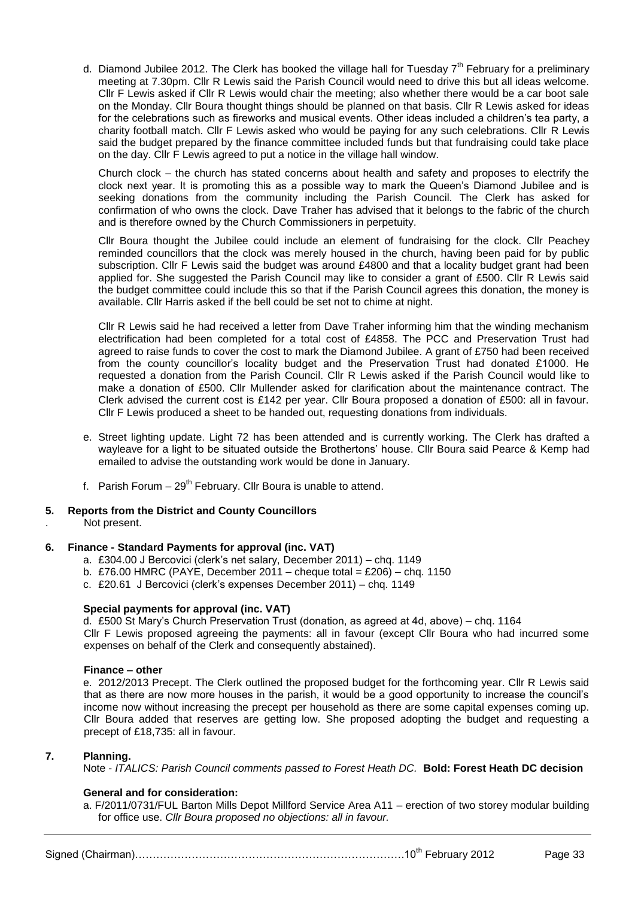d. Diamond Jubilee 2012. The Clerk has booked the village hall for Tuesday  $7<sup>th</sup>$  February for a preliminary meeting at 7.30pm. Cllr R Lewis said the Parish Council would need to drive this but all ideas welcome. Cllr F Lewis asked if Cllr R Lewis would chair the meeting; also whether there would be a car boot sale on the Monday. Cllr Boura thought things should be planned on that basis. Cllr R Lewis asked for ideas for the celebrations such as fireworks and musical events. Other ideas included a children's tea party, a charity football match. Cllr F Lewis asked who would be paying for any such celebrations. Cllr R Lewis said the budget prepared by the finance committee included funds but that fundraising could take place on the day. Cllr F Lewis agreed to put a notice in the village hall window.

Church clock – the church has stated concerns about health and safety and proposes to electrify the clock next year. It is promoting this as a possible way to mark the Queen's Diamond Jubilee and is seeking donations from the community including the Parish Council. The Clerk has asked for confirmation of who owns the clock. Dave Traher has advised that it belongs to the fabric of the church and is therefore owned by the Church Commissioners in perpetuity.

Cllr Boura thought the Jubilee could include an element of fundraising for the clock. Cllr Peachey reminded councillors that the clock was merely housed in the church, having been paid for by public subscription. Cllr F Lewis said the budget was around £4800 and that a locality budget grant had been applied for. She suggested the Parish Council may like to consider a grant of £500. Cllr R Lewis said the budget committee could include this so that if the Parish Council agrees this donation, the money is available. Cllr Harris asked if the bell could be set not to chime at night.

Cllr R Lewis said he had received a letter from Dave Traher informing him that the winding mechanism electrification had been completed for a total cost of £4858. The PCC and Preservation Trust had agreed to raise funds to cover the cost to mark the Diamond Jubilee. A grant of £750 had been received from the county councillor's locality budget and the Preservation Trust had donated £1000. He requested a donation from the Parish Council. Cllr R Lewis asked if the Parish Council would like to make a donation of £500. Cllr Mullender asked for clarification about the maintenance contract. The Clerk advised the current cost is £142 per year. Cllr Boura proposed a donation of £500: all in favour. Cllr F Lewis produced a sheet to be handed out, requesting donations from individuals.

- e. Street lighting update. Light 72 has been attended and is currently working. The Clerk has drafted a wayleave for a light to be situated outside the Brothertons' house. Cllr Boura said Pearce & Kemp had emailed to advise the outstanding work would be done in January.
- f. Parish Forum  $-29^{th}$  February. Cllr Boura is unable to attend.

## **5. Reports from the District and County Councillors**

. Not present.

## **6. Finance - Standard Payments for approval (inc. VAT)**

- a. £304.00 J Bercovici (clerk's net salary, December 2011) chq. 1149
- b. £76.00 HMRC (PAYE, December 2011 cheque total = £206) chq. 1150
- c. £20.61 J Bercovici (clerk's expenses December 2011) chq. 1149

## **Special payments for approval (inc. VAT)**

d. £500 St Mary's Church Preservation Trust (donation, as agreed at 4d, above) – chq. 1164 Cllr F Lewis proposed agreeing the payments: all in favour (except Cllr Boura who had incurred some expenses on behalf of the Clerk and consequently abstained).

#### **Finance – other**

e. 2012/2013 Precept. The Clerk outlined the proposed budget for the forthcoming year. Cllr R Lewis said that as there are now more houses in the parish, it would be a good opportunity to increase the council's income now without increasing the precept per household as there are some capital expenses coming up. Cllr Boura added that reserves are getting low. She proposed adopting the budget and requesting a precept of £18,735: all in favour.

#### **7. Planning.**

Note - *ITALICS: Parish Council comments passed to Forest Heath DC.* **Bold: Forest Heath DC decision**

## **General and for consideration:**

a. F/2011/0731/FUL Barton Mills Depot Millford Service Area A11 – erection of two storey modular building for office use. *Cllr Boura proposed no objections: all in favour.*